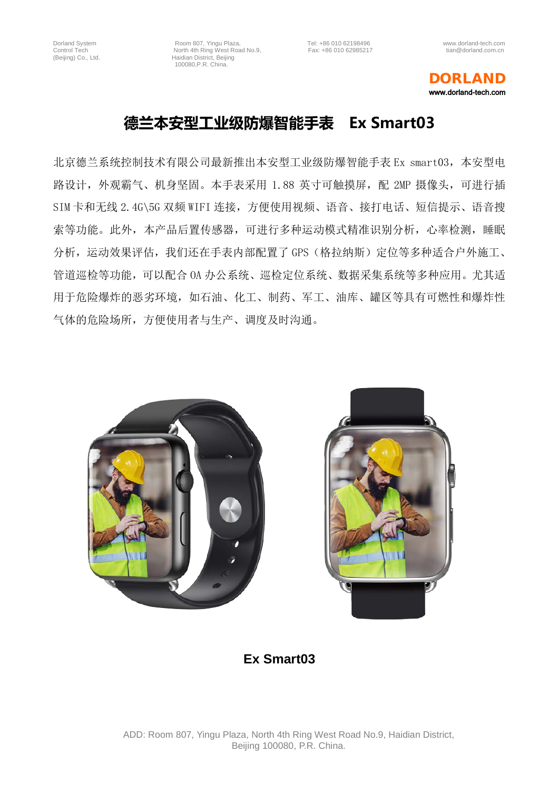Dorland System **Room 807, Yingu Plaza,** Tel: +86 010 62198496 www.dorland-tech.com<br>Control Tech **Room 807, Yingu Plaza, Tel: +86 010 62985217** www.dorland.com.cn Control Tech North 4th Ring West Road No.9,<br>
(Beijing) Co., Ltd. Haidian District, Beijing Haidian District, Beijing 100080,P.R. China.

## DORLAND www.dorland-tech.com

## **德兰本安型工业级防爆智能手表 Ex Smart03**

北京德兰系统控制技术有限公司最新推出本安型工业级防爆智能手表 Ex smart03,本安型电 路设计, 外观霸气、机身坚固。本手表采用 1.88 英寸可触摸屏, 配 2MP 摄像头, 可进行插 SIM 卡和无线 2.4G\5G 双频 WIFI 连接,方便使用视频、语音、接打电话、短信提示、语音搜 索等功能。此外,本产品后置传感器,可进行多种运动模式精准识别分析,心率检测,睡眠 分析,运动效果评估,我们还在手表内部配置了 GPS(格拉纳斯)定位等多种适合户外施工、 管道巡检等功能,可以配合 OA 办公系统、巡检定位系统、数据采集系统等多种应用。尤其适 用于危险爆炸的恶劣环境,如石油、化工、制药、军工、油库、罐区等具有可燃性和爆炸性 气体的危险场所,方便使用者与生产、调度及时沟通。





**Ex Smart03**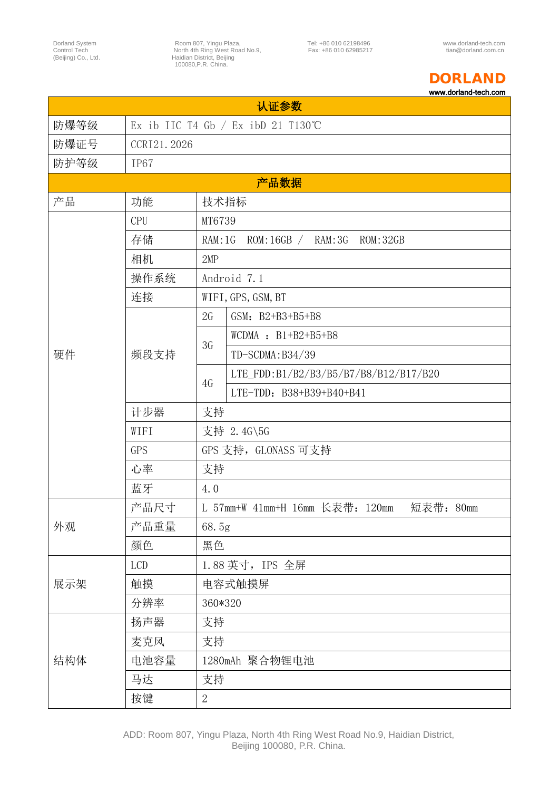Dorland System Moom 807, Yingu Plaza, Tel: +86 010 62198496 www.dorland-tech.com<br>Control Tech Morth 4th Ring West Road No.9, Fax: +86 010 62985217 tian@dorland.com.cn<br>(Beijing) Co., Ltd. flate and the Hard Hard Heling Moo

## DORLAND

www.dorland-tech.com

| 认证奓致 |                                      |                                                 |  |
|------|--------------------------------------|-------------------------------------------------|--|
| 防爆等级 | Ex ib IIC T4 Gb $/$ Ex ibD 21 T130°C |                                                 |  |
| 防爆证号 | CCRI21.2026                          |                                                 |  |
| 防护等级 | IP67                                 |                                                 |  |
| 产品数据 |                                      |                                                 |  |
| 产品   | 功能                                   | 技术指标                                            |  |
|      | <b>CPU</b>                           | MT6739                                          |  |
|      | 存储                                   | RAM: 1G<br>ROM:16GB / RAM:3G<br>ROM:32GB        |  |
|      | 相机                                   | 2MP                                             |  |
|      | 操作系统                                 | Android 7.1                                     |  |
|      | 连接                                   | WIFI, GPS, GSM, BT                              |  |
|      | 频段支持                                 | 2G<br>GSM: B2+B3+B5+B8                          |  |
|      |                                      | WCDMA : $B1+B2+B5+B8$<br>3G                     |  |
| 硬件   |                                      | TD-SCDMA: B34/39                                |  |
|      |                                      | LTE FDD:B1/B2/B3/B5/B7/B8/B12/B17/B20<br>4G     |  |
|      |                                      | LTE-TDD: B38+B39+B40+B41                        |  |
|      | 计步器                                  | 支持                                              |  |
|      | WIFI                                 | 支持 2.4G\5G                                      |  |
|      | GPS                                  | GPS 支持, GLONASS 可支持                             |  |
|      | 心率                                   | 支持                                              |  |
|      | 蓝牙                                   | 4.0                                             |  |
| 外观   | 产品尺寸                                 | L 57mm+W 41mm+H 16mm 长表带: 120mm<br>短表带:<br>80mm |  |
|      | 产品重量                                 | 68.5g                                           |  |
|      | 颜色                                   | 黑色                                              |  |
| 展示架  | <b>LCD</b>                           | 1.88 英寸, IPS 全屏                                 |  |
|      | 触摸                                   | 电容式触摸屏                                          |  |
|      | 分辨率                                  | 360*320                                         |  |
| 结构体  | 扬声器                                  | 支持                                              |  |
|      | 麦克风                                  | 支持                                              |  |
|      | 电池容量                                 | 1280mAh 聚合物锂电池                                  |  |
|      | 马达                                   | 支持                                              |  |
|      | 按键                                   | $\overline{2}$                                  |  |
|      |                                      |                                                 |  |

 $\lambda$  is  $\lambda \to \lambda \to \lambda \nu$